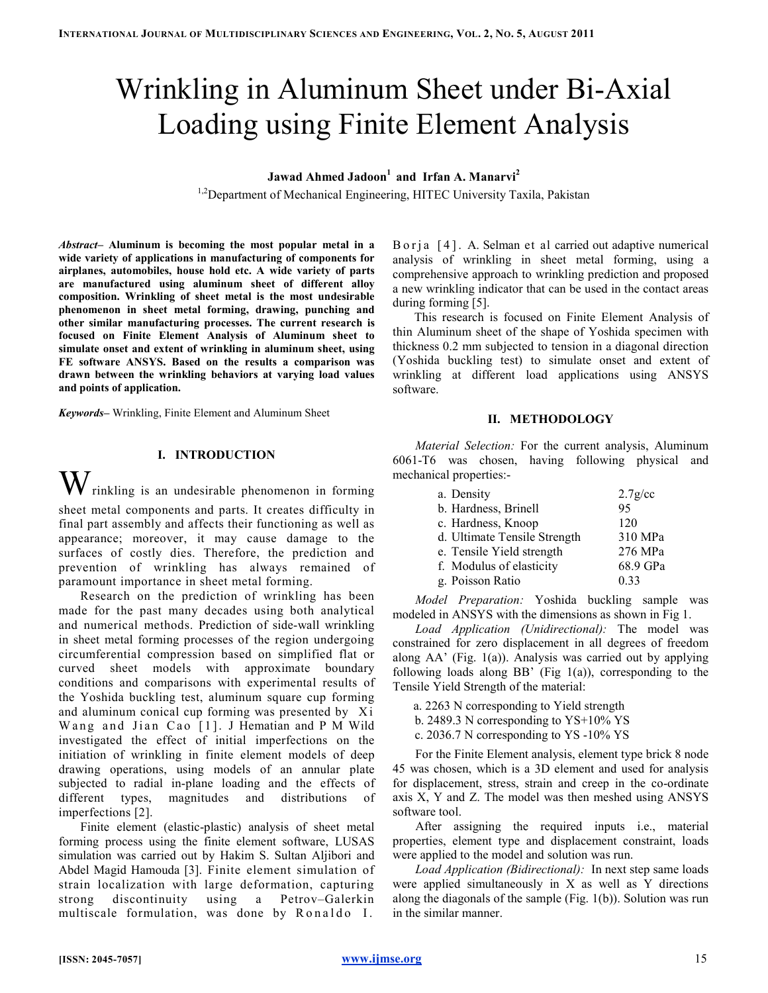# Wrinkling in Aluminum Sheet under Bi-Axial Loading using Finite Element Analysis

Jawad Ahmed Jadoon<sup>1</sup> and Irfan A. Manarvi<sup>2</sup>

<sup>1,2</sup>Department of Mechanical Engineering, HITEC University Taxila, Pakistan

Abstract– Aluminum is becoming the most popular metal in a wide variety of applications in manufacturing of components for airplanes, automobiles, house hold etc. A wide variety of parts are manufactured using aluminum sheet of different alloy composition. Wrinkling of sheet metal is the most undesirable phenomenon in sheet metal forming, drawing, punching and other similar manufacturing processes. The current research is focused on Finite Element Analysis of Aluminum sheet to simulate onset and extent of wrinkling in aluminum sheet, using FE software ANSYS. Based on the results a comparison was drawn between the wrinkling behaviors at varying load values and points of application.

Keywords– Wrinkling, Finite Element and Aluminum Sheet

# I. INTRODUCTION

 $\mathbf{W}$  rinkling is an undesirable phenomenon in forming sheet metal components and parts. It creates difficulty in final part assembly and affects their functioning as well as appearance; moreover, it may cause damage to the surfaces of costly dies. Therefore, the prediction and prevention of wrinkling has always remained of paramount importance in sheet metal forming.

Research on the prediction of wrinkling has been made for the past many decades using both analytical and numerical methods. Prediction of side-wall wrinkling in sheet metal forming processes of the region undergoing circumferential compression based on simplified flat or curved sheet models with approximate boundary conditions and comparisons with experimental results of the Yoshida buckling test, aluminum square cup forming and aluminum conical cup forming was presented by Xi Wang and Jian Cao [1]. J Hematian and P M Wild investigated the effect of initial imperfections on the initiation of wrinkling in finite element models of deep drawing operations, using models of an annular plate subjected to radial in-plane loading and the effects of different types, magnitudes and distributions of imperfections [2].

Finite element (elastic-plastic) analysis of sheet metal forming process using the finite element software, LUSAS simulation was carried out by Hakim S. Sultan Aljibori and Abdel Magid Hamouda [3]. Finite element simulation of strain localization with large deformation, capturing strong discontinuity using a Petrov–Galerkin multiscale formulation, was done by Ronaldo I.

B o r j a [4]. A. Selman et al carried out adaptive numerical analysis of wrinkling in sheet metal forming, using a comprehensive approach to wrinkling prediction and proposed a new wrinkling indicator that can be used in the contact areas during forming [5].

This research is focused on Finite Element Analysis of thin Aluminum sheet of the shape of Yoshida specimen with thickness 0.2 mm subjected to tension in a diagonal direction (Yoshida buckling test) to simulate onset and extent of wrinkling at different load applications using ANSYS software.

## II. METHODOLOGY

Material Selection: For the current analysis, Aluminum 6061-T6 was chosen, having following physical and mechanical properties:-

| a. Density                   | $2.7$ g/cc |
|------------------------------|------------|
| b. Hardness, Brinell         | 95         |
| c. Hardness, Knoop           | 120        |
| d. Ultimate Tensile Strength | 310 MPa    |
| e. Tensile Yield strength    | 276 MPa    |
| f. Modulus of elasticity     | 68.9 GPa   |
| g. Poisson Ratio             | 0.33       |

Model Preparation: Yoshida buckling sample was modeled in ANSYS with the dimensions as shown in Fig 1.

Load Application (Unidirectional): The model was constrained for zero displacement in all degrees of freedom along  $AA'$  (Fig. 1(a)). Analysis was carried out by applying following loads along BB' (Fig  $1(a)$ ), corresponding to the Tensile Yield Strength of the material:

a. 2263 N corresponding to Yield strength

b. 2489.3 N corresponding to YS+10% YS

c. 2036.7 N corresponding to YS -10% YS

For the Finite Element analysis, element type brick 8 node 45 was chosen, which is a 3D element and used for analysis for displacement, stress, strain and creep in the co-ordinate axis X, Y and Z. The model was then meshed using ANSYS software tool.

After assigning the required inputs i.e., material properties, element type and displacement constraint, loads were applied to the model and solution was run.

Load Application (Bidirectional): In next step same loads were applied simultaneously in X as well as Y directions along the diagonals of the sample (Fig. 1(b)). Solution was run in the similar manner.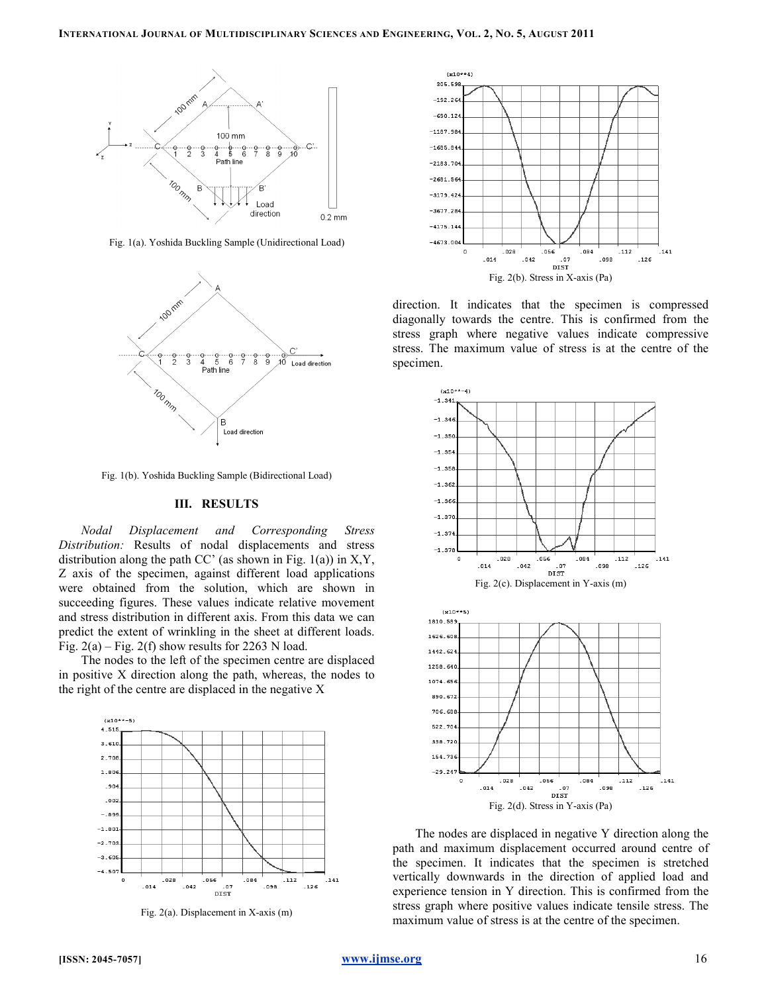

Fig. 1(a). Yoshida Buckling Sample (Unidirectional Load)



Fig. 1(b). Yoshida Buckling Sample (Bidirectional Load)

# III. RESULTS

Nodal Displacement and Corresponding Stress Distribution: Results of nodal displacements and stress distribution along the path  $CC'$  (as shown in Fig. 1(a)) in X,Y, Z axis of the specimen, against different load applications were obtained from the solution, which are shown in succeeding figures. These values indicate relative movement and stress distribution in different axis. From this data we can predict the extent of wrinkling in the sheet at different loads. Fig.  $2(a)$  – Fig.  $2(f)$  show results for 2263 N load.

The nodes to the left of the specimen centre are displaced in positive X direction along the path, whereas, the nodes to the right of the centre are displaced in the negative X



Fig. 2(a). Displacement in X-axis (m)



direction. It indicates that the specimen is compressed diagonally towards the centre. This is confirmed from the stress graph where negative values indicate compressive stress. The maximum value of stress is at the centre of the specimen.



The nodes are displaced in negative Y direction along the path and maximum displacement occurred around centre of the specimen. It indicates that the specimen is stretched vertically downwards in the direction of applied load and experience tension in Y direction. This is confirmed from the stress graph where positive values indicate tensile stress. The maximum value of stress is at the centre of the specimen.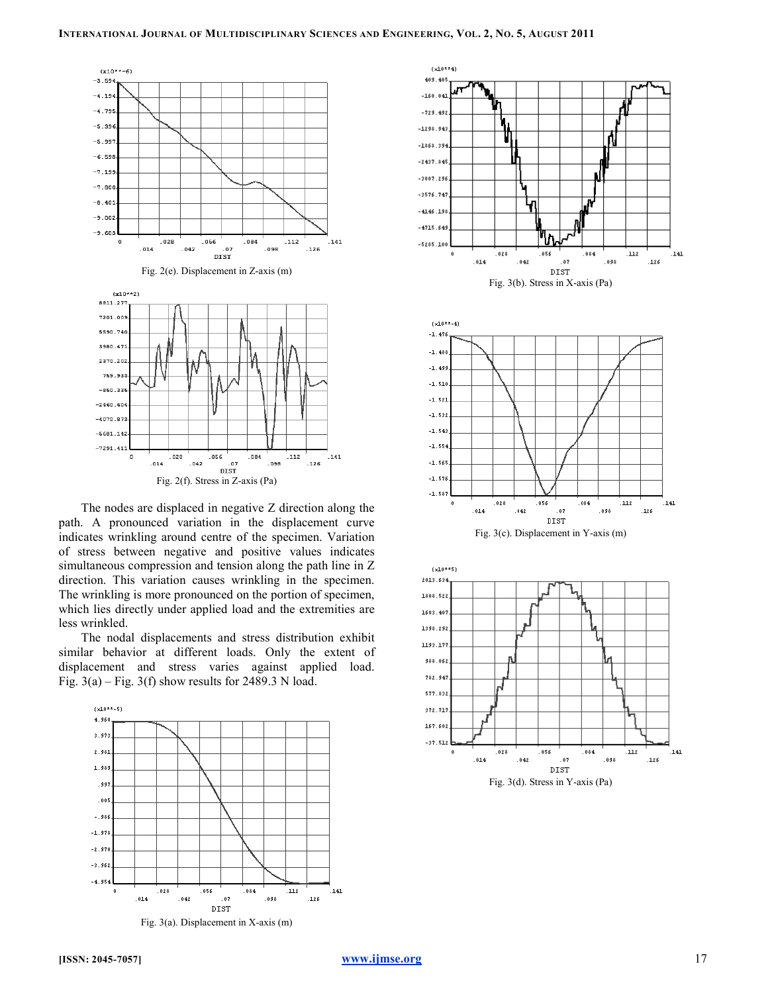

The nodes are displaced in negative Z direction along the path. A pronounced variation in the displacement curve indicates wrinkling around centre of the specimen. Variation of stress between negative and positive values indicates simultaneous compression and tension along the path line in Z direction. This variation causes wrinkling in the specimen. The wrinkling is more pronounced on the portion of specimen, which lies directly under applied load and the extremities are less wrinkled.

The nodal displacements and stress distribution exhibit similar behavior at different loads. Only the extent of displacement and stress varies against applied load. Fig.  $3(a)$  – Fig. 3(f) show results for 2489.3 N load.





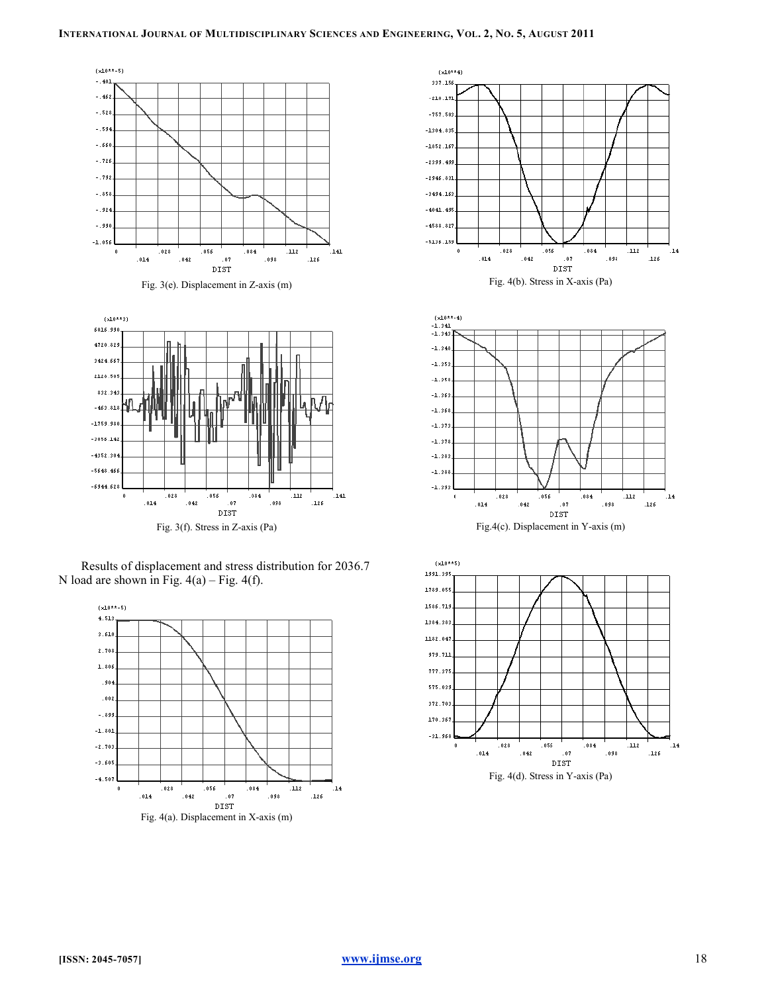



Results of displacement and stress distribution for 2036.7 N load are shown in Fig.  $4(a)$  – Fig.  $4(f)$ .





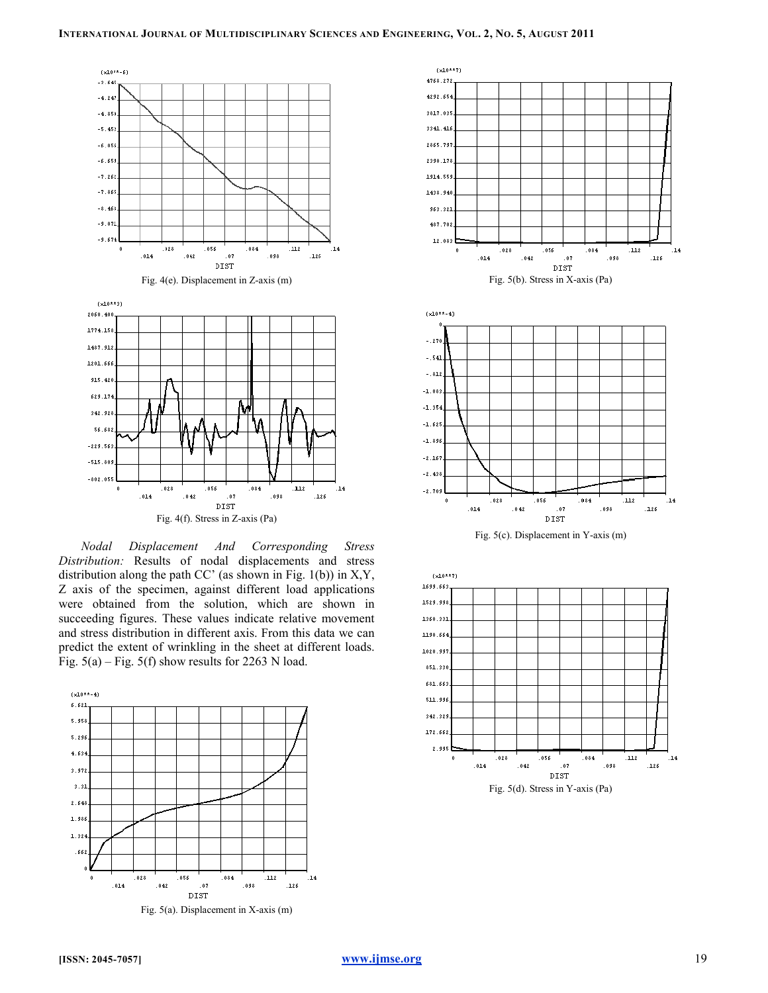

Nodal Displacement And Corresponding Stress Distribution: Results of nodal displacements and stress distribution along the path  $CC'$  (as shown in Fig. 1(b)) in X,Y, Z axis of the specimen, against different load applications were obtained from the solution, which are shown in succeeding figures. These values indicate relative movement and stress distribution in different axis. From this data we can predict the extent of wrinkling in the sheet at different loads. Fig.  $5(a)$  – Fig.  $5(f)$  show results for 2263 N load.





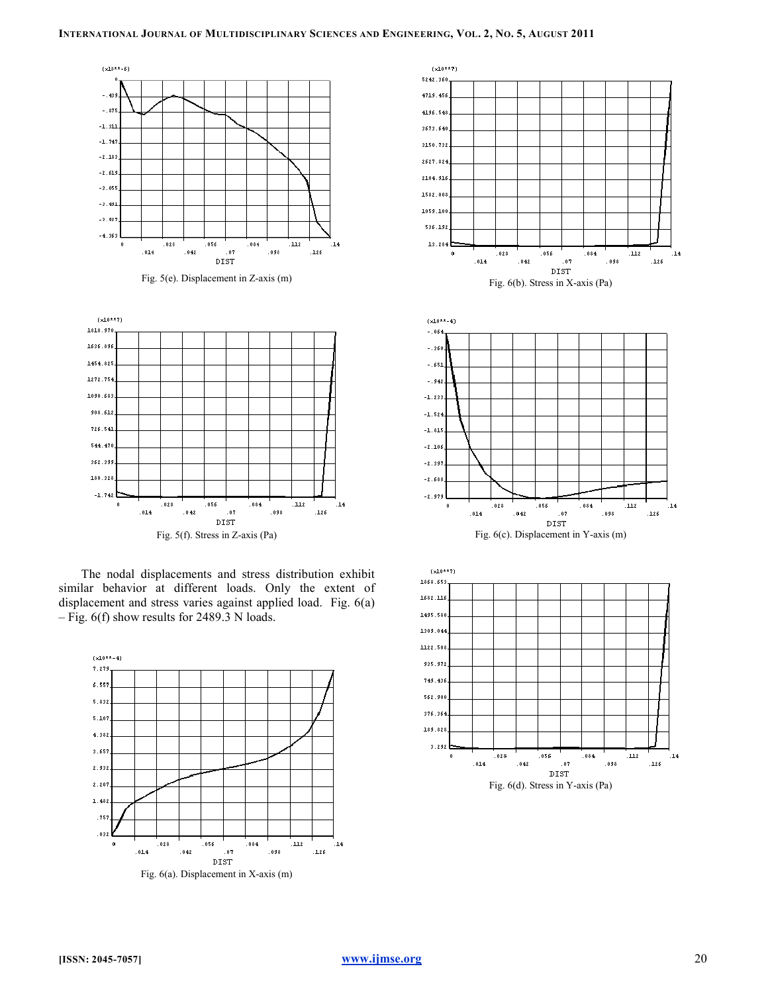

The nodal displacements and stress distribution exhibit similar behavior at different loads. Only the extent of displacement and stress varies against applied load. Fig. 6(a) – Fig. 6(f) show results for 2489.3 N loads.





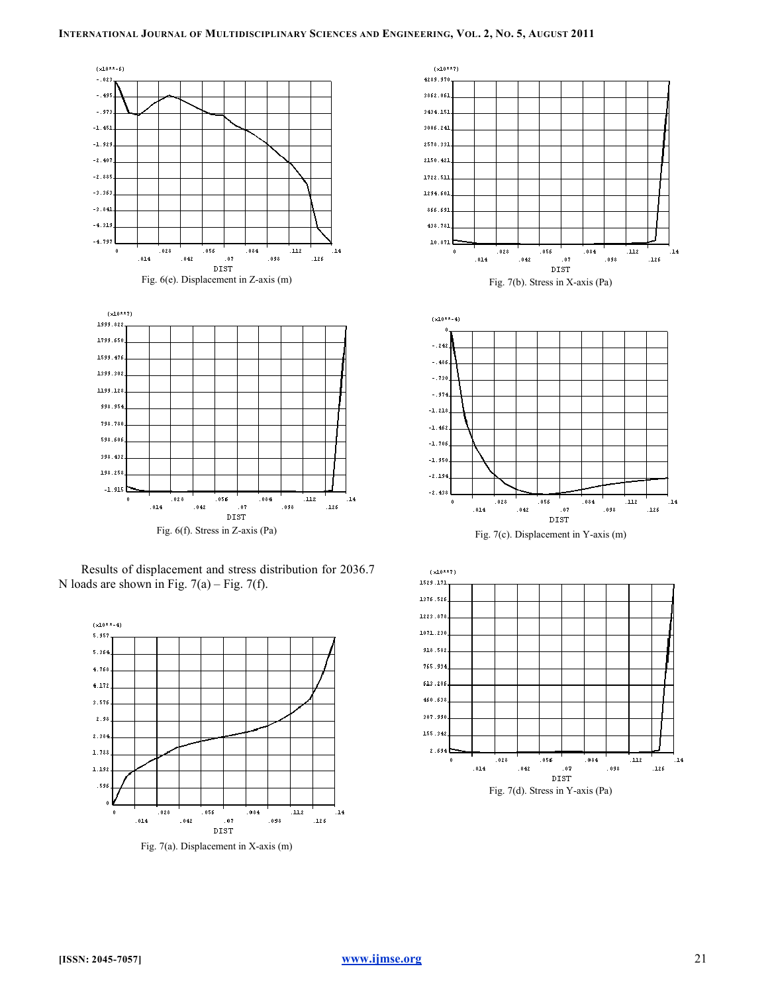

Results of displacement and stress distribution for 2036.7 N loads are shown in Fig.  $7(a)$  – Fig.  $7(f)$ .



Fig. 7(a). Displacement in X-axis (m)



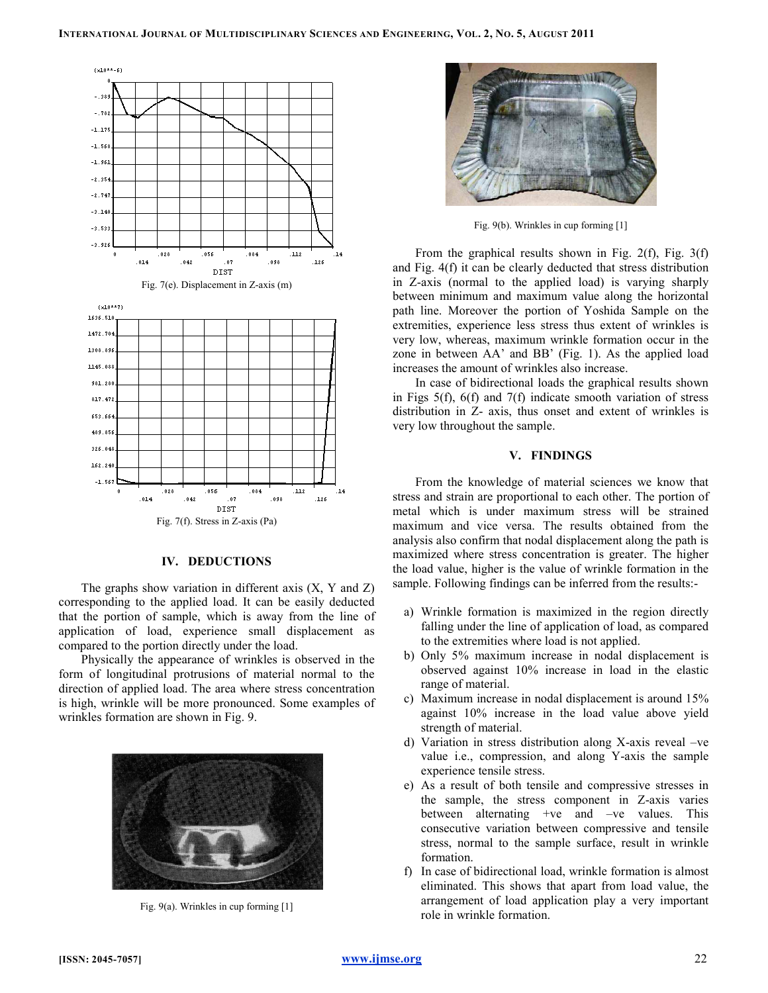

## IV. DEDUCTIONS

The graphs show variation in different axis (X, Y and Z) corresponding to the applied load. It can be easily deducted that the portion of sample, which is away from the line of application of load, experience small displacement as compared to the portion directly under the load.

Physically the appearance of wrinkles is observed in the form of longitudinal protrusions of material normal to the direction of applied load. The area where stress concentration is high, wrinkle will be more pronounced. Some examples of wrinkles formation are shown in Fig. 9.



Fig. 9(a). Wrinkles in cup forming [1]



Fig. 9(b). Wrinkles in cup forming [1]

From the graphical results shown in Fig.  $2(f)$ , Fig.  $3(f)$ and Fig. 4(f) it can be clearly deducted that stress distribution in Z-axis (normal to the applied load) is varying sharply between minimum and maximum value along the horizontal path line. Moreover the portion of Yoshida Sample on the extremities, experience less stress thus extent of wrinkles is very low, whereas, maximum wrinkle formation occur in the zone in between AA' and BB' (Fig. 1). As the applied load increases the amount of wrinkles also increase.

In case of bidirectional loads the graphical results shown in Figs 5(f), 6(f) and 7(f) indicate smooth variation of stress distribution in Z- axis, thus onset and extent of wrinkles is very low throughout the sample.

## V. FINDINGS

From the knowledge of material sciences we know that stress and strain are proportional to each other. The portion of metal which is under maximum stress will be strained maximum and vice versa. The results obtained from the analysis also confirm that nodal displacement along the path is maximized where stress concentration is greater. The higher the load value, higher is the value of wrinkle formation in the sample. Following findings can be inferred from the results:-

- a) Wrinkle formation is maximized in the region directly falling under the line of application of load, as compared to the extremities where load is not applied.
- b) Only 5% maximum increase in nodal displacement is observed against 10% increase in load in the elastic range of material.
- c) Maximum increase in nodal displacement is around 15% against 10% increase in the load value above yield strength of material.
- d) Variation in stress distribution along X-axis reveal –ve value i.e., compression, and along Y-axis the sample experience tensile stress.
- e) As a result of both tensile and compressive stresses in the sample, the stress component in Z-axis varies between alternating +ve and –ve values. This consecutive variation between compressive and tensile stress, normal to the sample surface, result in wrinkle formation.
- f) In case of bidirectional load, wrinkle formation is almost eliminated. This shows that apart from load value, the arrangement of load application play a very important role in wrinkle formation.